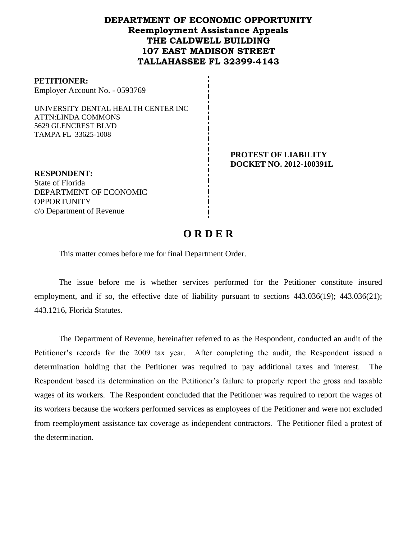## **DEPARTMENT OF ECONOMIC OPPORTUNITY Reemployment Assistance Appeals THE CALDWELL BUILDING 107 EAST MADISON STREET TALLAHASSEE FL 32399-4143**

| <b>PETITIONER:</b>             |  |
|--------------------------------|--|
| Employer Account No. - 0593769 |  |

UNIVERSITY DENTAL HEALTH CENTER INC ATTN:LINDA COMMONS 5629 GLENCREST BLVD TAMPA FL 33625-1008

> **PROTEST OF LIABILITY DOCKET NO. 2012-100391L**

**RESPONDENT:** State of Florida DEPARTMENT OF ECONOMIC **OPPORTUNITY** c/o Department of Revenue

# **O R D E R**

This matter comes before me for final Department Order.

The issue before me is whether services performed for the Petitioner constitute insured employment, and if so, the effective date of liability pursuant to sections  $443.036(19)$ ;  $443.036(21)$ ; 443.1216, Florida Statutes.

The Department of Revenue, hereinafter referred to as the Respondent, conducted an audit of the Petitioner's records for the 2009 tax year. After completing the audit, the Respondent issued a determination holding that the Petitioner was required to pay additional taxes and interest. The Respondent based its determination on the Petitioner's failure to properly report the gross and taxable wages of its workers. The Respondent concluded that the Petitioner was required to report the wages of its workers because the workers performed services as employees of the Petitioner and were not excluded from reemployment assistance tax coverage as independent contractors. The Petitioner filed a protest of the determination.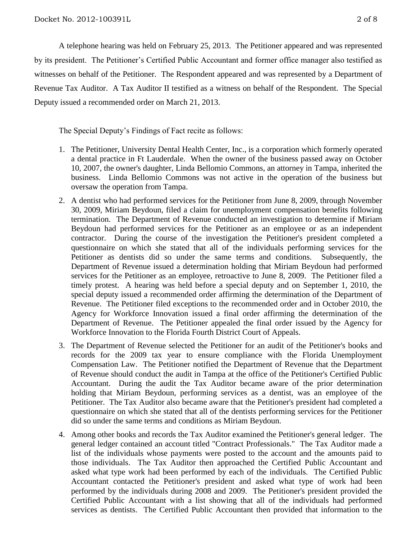A telephone hearing was held on February 25, 2013.The Petitioner appeared and was represented by its president. The Petitioner's Certified Public Accountant and former office manager also testified as witnesses on behalf of the Petitioner. The Respondent appeared and was represented by a Department of Revenue Tax Auditor. A Tax Auditor II testified as a witness on behalf of the Respondent. The Special Deputy issued a recommended order on March 21, 2013.

The Special Deputy's Findings of Fact recite as follows:

- 1. The Petitioner, University Dental Health Center, Inc., is a corporation which formerly operated a dental practice in Ft Lauderdale. When the owner of the business passed away on October 10, 2007, the owner's daughter, Linda Bellomio Commons, an attorney in Tampa, inherited the business. Linda Bellomio Commons was not active in the operation of the business but oversaw the operation from Tampa.
- 2. A dentist who had performed services for the Petitioner from June 8, 2009, through November 30, 2009, Miriam Beydoun, filed a claim for unemployment compensation benefits following termination. The Department of Revenue conducted an investigation to determine if Miriam Beydoun had performed services for the Petitioner as an employee or as an independent contractor. During the course of the investigation the Petitioner's president completed a questionnaire on which she stated that all of the individuals performing services for the Petitioner as dentists did so under the same terms and conditions. Subsequently, the Department of Revenue issued a determination holding that Miriam Beydoun had performed services for the Petitioner as an employee, retroactive to June 8, 2009. The Petitioner filed a timely protest. A hearing was held before a special deputy and on September 1, 2010, the special deputy issued a recommended order affirming the determination of the Department of Revenue. The Petitioner filed exceptions to the recommended order and in October 2010, the Agency for Workforce Innovation issued a final order affirming the determination of the Department of Revenue. The Petitioner appealed the final order issued by the Agency for Workforce Innovation to the Florida Fourth District Court of Appeals.
- 3. The Department of Revenue selected the Petitioner for an audit of the Petitioner's books and records for the 2009 tax year to ensure compliance with the Florida Unemployment Compensation Law. The Petitioner notified the Department of Revenue that the Department of Revenue should conduct the audit in Tampa at the office of the Petitioner's Certified Public Accountant. During the audit the Tax Auditor became aware of the prior determination holding that Miriam Beydoun, performing services as a dentist, was an employee of the Petitioner. The Tax Auditor also became aware that the Petitioner's president had completed a questionnaire on which she stated that all of the dentists performing services for the Petitioner did so under the same terms and conditions as Miriam Beydoun.
- 4. Among other books and records the Tax Auditor examined the Petitioner's general ledger. The general ledger contained an account titled "Contract Professionals." The Tax Auditor made a list of the individuals whose payments were posted to the account and the amounts paid to those individuals. The Tax Auditor then approached the Certified Public Accountant and asked what type work had been performed by each of the individuals. The Certified Public Accountant contacted the Petitioner's president and asked what type of work had been performed by the individuals during 2008 and 2009. The Petitioner's president provided the Certified Public Accountant with a list showing that all of the individuals had performed services as dentists. The Certified Public Accountant then provided that information to the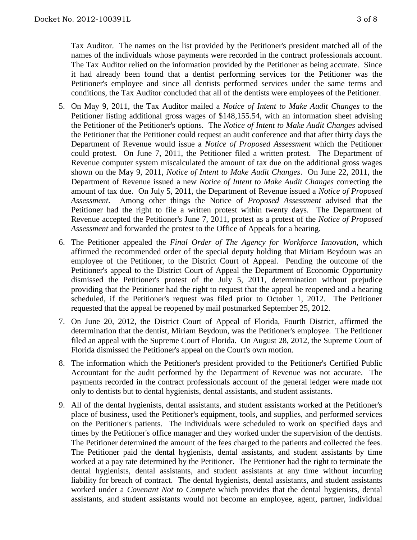Tax Auditor. The names on the list provided by the Petitioner's president matched all of the names of the individuals whose payments were recorded in the contract professionals account. The Tax Auditor relied on the information provided by the Petitioner as being accurate. Since it had already been found that a dentist performing services for the Petitioner was the Petitioner's employee and since all dentists performed services under the same terms and conditions, the Tax Auditor concluded that all of the dentists were employees of the Petitioner.

- 5. On May 9, 2011, the Tax Auditor mailed a *Notice of Intent to Make Audit Changes* to the Petitioner listing additional gross wages of \$148,155.54, with an information sheet advising the Petitioner of the Petitioner's options. The *Notice of Intent to Make Audit Changes* advised the Petitioner that the Petitioner could request an audit conference and that after thirty days the Department of Revenue would issue a *Notice of Proposed Assessment* which the Petitioner could protest. On June 7, 2011, the Petitioner filed a written protest. The Department of Revenue computer system miscalculated the amount of tax due on the additional gross wages shown on the May 9, 2011, *Notice of Intent to Make Audit Changes*. On June 22, 2011, the Department of Revenue issued a new *Notice of Intent to Make Audit Changes* correcting the amount of tax due. On July 5, 2011, the Department of Revenue issued a *Notice of Proposed Assessment*. Among other things the Notice of *Proposed Assessment* advised that the Petitioner had the right to file a written protest within twenty days. The Department of Revenue accepted the Petitioner's June 7, 2011, protest as a protest of the *Notice of Proposed Assessment* and forwarded the protest to the Office of Appeals for a hearing.
- 6. The Petitioner appealed the *Final Order of The Agency for Workforce Innovation,* which affirmed the recommended order of the special deputy holding that Miriam Beydoun was an employee of the Petitioner, to the District Court of Appeal. Pending the outcome of the Petitioner's appeal to the District Court of Appeal the Department of Economic Opportunity dismissed the Petitioner's protest of the July 5, 2011, determination without prejudice providing that the Petitioner had the right to request that the appeal be reopened and a hearing scheduled, if the Petitioner's request was filed prior to October 1, 2012. The Petitioner requested that the appeal be reopened by mail postmarked September 25, 2012.
- 7. On June 20, 2012, the District Court of Appeal of Florida, Fourth District, affirmed the determination that the dentist, Miriam Beydoun, was the Petitioner's employee. The Petitioner filed an appeal with the Supreme Court of Florida. On August 28, 2012, the Supreme Court of Florida dismissed the Petitioner's appeal on the Court's own motion.
- 8. The information which the Petitioner's president provided to the Petitioner's Certified Public Accountant for the audit performed by the Department of Revenue was not accurate. The payments recorded in the contract professionals account of the general ledger were made not only to dentists but to dental hygienists, dental assistants, and student assistants.
- 9. All of the dental hygienists, dental assistants, and student assistants worked at the Petitioner's place of business, used the Petitioner's equipment, tools, and supplies, and performed services on the Petitioner's patients. The individuals were scheduled to work on specified days and times by the Petitioner's office manager and they worked under the supervision of the dentists. The Petitioner determined the amount of the fees charged to the patients and collected the fees. The Petitioner paid the dental hygienists, dental assistants, and student assistants by time worked at a pay rate determined by the Petitioner. The Petitioner had the right to terminate the dental hygienists, dental assistants, and student assistants at any time without incurring liability for breach of contract. The dental hygienists, dental assistants, and student assistants worked under a *Covenant Not to Compete* which provides that the dental hygienists, dental assistants, and student assistants would not become an employee, agent, partner, individual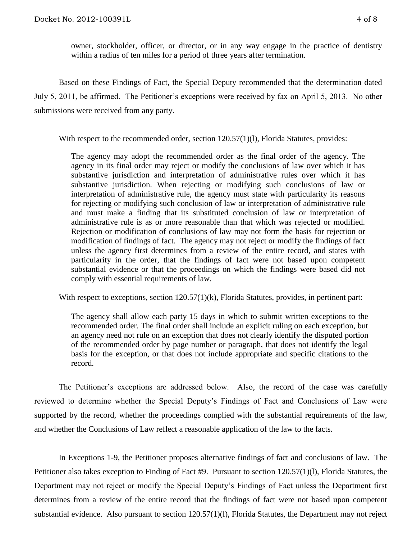owner, stockholder, officer, or director, or in any way engage in the practice of dentistry within a radius of ten miles for a period of three years after termination.

Based on these Findings of Fact, the Special Deputy recommended that the determination dated July 5, 2011, be affirmed. The Petitioner's exceptions were received by fax on April 5, 2013. No other submissions were received from any party.

With respect to the recommended order, section 120.57(1)(1), Florida Statutes, provides:

The agency may adopt the recommended order as the final order of the agency. The agency in its final order may reject or modify the conclusions of law over which it has substantive jurisdiction and interpretation of administrative rules over which it has substantive jurisdiction. When rejecting or modifying such conclusions of law or interpretation of administrative rule, the agency must state with particularity its reasons for rejecting or modifying such conclusion of law or interpretation of administrative rule and must make a finding that its substituted conclusion of law or interpretation of administrative rule is as or more reasonable than that which was rejected or modified. Rejection or modification of conclusions of law may not form the basis for rejection or modification of findings of fact. The agency may not reject or modify the findings of fact unless the agency first determines from a review of the entire record, and states with particularity in the order, that the findings of fact were not based upon competent substantial evidence or that the proceedings on which the findings were based did not comply with essential requirements of law.

With respect to exceptions, section 120.57(1)(k), Florida Statutes, provides, in pertinent part:

The agency shall allow each party 15 days in which to submit written exceptions to the recommended order. The final order shall include an explicit ruling on each exception, but an agency need not rule on an exception that does not clearly identify the disputed portion of the recommended order by page number or paragraph, that does not identify the legal basis for the exception, or that does not include appropriate and specific citations to the record.

The Petitioner's exceptions are addressed below. Also, the record of the case was carefully reviewed to determine whether the Special Deputy's Findings of Fact and Conclusions of Law were supported by the record, whether the proceedings complied with the substantial requirements of the law, and whether the Conclusions of Law reflect a reasonable application of the law to the facts.

In Exceptions 1-9, the Petitioner proposes alternative findings of fact and conclusions of law. The Petitioner also takes exception to Finding of Fact #9. Pursuant to section 120.57(1)(l), Florida Statutes, the Department may not reject or modify the Special Deputy's Findings of Fact unless the Department first determines from a review of the entire record that the findings of fact were not based upon competent substantial evidence. Also pursuant to section 120.57(1)(1), Florida Statutes, the Department may not reject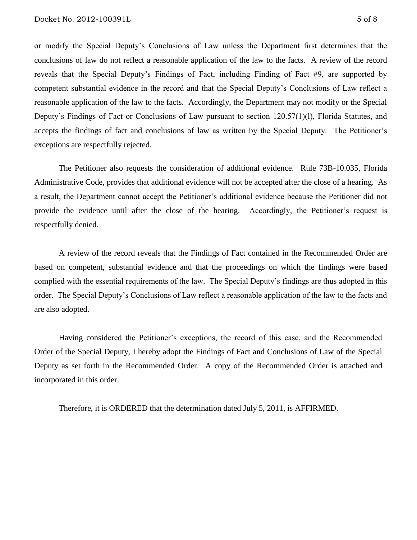or modify the Special Deputy's Conclusions of Law unless the Department first determines that the conclusions of law do not reflect a reasonable application of the law to the facts. A review of the record reveals that the Special Deputy's Findings of Fact, including Finding of Fact #9, are supported by competent substantial evidence in the record and that the Special Deputy's Conclusions of Law reflect a reasonable application of the law to the facts. Accordingly, the Department may not modify or the Special Deputy's Findings of Fact or Conclusions of Law pursuant to section 120.57(1)(l), Florida Statutes, and accepts the findings of fact and conclusions of law as written by the Special Deputy. The Petitioner's exceptions are respectfully rejected.

The Petitioner also requests the consideration of additional evidence. Rule 73B-10.035, Florida Administrative Code, provides that additional evidence will not be accepted after the close of a hearing. As a result, the Department cannot accept the Petitioner's additional evidence because the Petitioner did not provide the evidence until after the close of the hearing. Accordingly, the Petitioner's request is respectfully denied.

A review of the record reveals that the Findings of Fact contained in the Recommended Order are based on competent, substantial evidence and that the proceedings on which the findings were based complied with the essential requirements of the law. The Special Deputy's findings are thus adopted in this order. The Special Deputy's Conclusions of Law reflect a reasonable application of the law to the facts and are also adopted.

Having considered the Petitioner's exceptions, the record of this case, and the Recommended Order of the Special Deputy, I hereby adopt the Findings of Fact and Conclusions of Law of the Special Deputy as set forth in the Recommended Order. A copy of the Recommended Order is attached and incorporated in this order.

Therefore, it is ORDERED that the determination dated July 5, 2011, is AFFIRMED.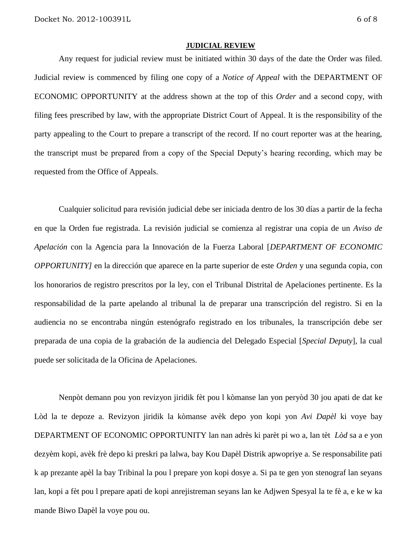#### **JUDICIAL REVIEW**

Any request for judicial review must be initiated within 30 days of the date the Order was filed. Judicial review is commenced by filing one copy of a *Notice of Appeal* with the DEPARTMENT OF ECONOMIC OPPORTUNITY at the address shown at the top of this *Order* and a second copy, with filing fees prescribed by law, with the appropriate District Court of Appeal. It is the responsibility of the party appealing to the Court to prepare a transcript of the record. If no court reporter was at the hearing, the transcript must be prepared from a copy of the Special Deputy's hearing recording, which may be requested from the Office of Appeals.

Cualquier solicitud para revisión judicial debe ser iniciada dentro de los 30 días a partir de la fecha en que la Orden fue registrada. La revisión judicial se comienza al registrar una copia de un *Aviso de Apelación* con la Agencia para la Innovación de la Fuerza Laboral [*DEPARTMENT OF ECONOMIC OPPORTUNITY]* en la dirección que aparece en la parte superior de este *Orden* y una segunda copia, con los honorarios de registro prescritos por la ley, con el Tribunal Distrital de Apelaciones pertinente. Es la responsabilidad de la parte apelando al tribunal la de preparar una transcripción del registro. Si en la audiencia no se encontraba ningún estenógrafo registrado en los tribunales, la transcripción debe ser preparada de una copia de la grabación de la audiencia del Delegado Especial [*Special Deputy*], la cual puede ser solicitada de la Oficina de Apelaciones.

Nenpòt demann pou yon revizyon jiridik fèt pou l kòmanse lan yon peryòd 30 jou apati de dat ke Lòd la te depoze a. Revizyon jiridik la kòmanse avèk depo yon kopi yon *Avi Dapèl* ki voye bay DEPARTMENT OF ECONOMIC OPPORTUNITY lan nan adrès ki parèt pi wo a, lan tèt *Lòd* sa a e yon dezyèm kopi, avèk frè depo ki preskri pa lalwa, bay Kou Dapèl Distrik apwopriye a. Se responsabilite pati k ap prezante apèl la bay Tribinal la pou l prepare yon kopi dosye a. Si pa te gen yon stenograf lan seyans lan, kopi a fèt pou l prepare apati de kopi anrejistreman seyans lan ke Adjwen Spesyal la te fè a, e ke w ka mande Biwo Dapèl la voye pou ou.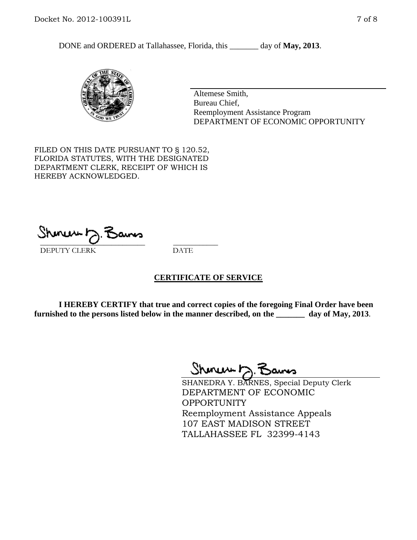DONE and ORDERED at Tallahassee, Florida, this \_\_\_\_\_\_\_ day of **May, 2013**.



Altemese Smith, Bureau Chief, Reemployment Assistance Program DEPARTMENT OF ECONOMIC OPPORTUNITY

FILED ON THIS DATE PURSUANT TO § 120.52, FLORIDA STATUTES, WITH THE DESIGNATED DEPARTMENT CLERK, RECEIPT OF WHICH IS HEREBY ACKNOWLEDGED.

 $\overline{\phantom{a}}$  ,  $\overline{\phantom{a}}$  ,  $\overline{\phantom{a}}$  ,  $\overline{\phantom{a}}$  ,  $\overline{\phantom{a}}$  ,  $\overline{\phantom{a}}$  ,  $\overline{\phantom{a}}$  ,  $\overline{\phantom{a}}$  ,  $\overline{\phantom{a}}$  ,  $\overline{\phantom{a}}$  ,  $\overline{\phantom{a}}$  ,  $\overline{\phantom{a}}$  ,  $\overline{\phantom{a}}$  ,  $\overline{\phantom{a}}$  ,  $\overline{\phantom{a}}$  ,  $\overline{\phantom{a}}$ DEPUTY CLERK DATE

#### **CERTIFICATE OF SERVICE**

**I HEREBY CERTIFY that true and correct copies of the foregoing Final Order have been furnished to the persons listed below in the manner described, on the \_\_\_\_\_\_\_ day of May, 2013**.

 $ShmumE, F$ 

SHANEDRA Y. BARNES, Special Deputy Clerk DEPARTMENT OF ECONOMIC **OPPORTUNITY** Reemployment Assistance Appeals 107 EAST MADISON STREET TALLAHASSEE FL 32399-4143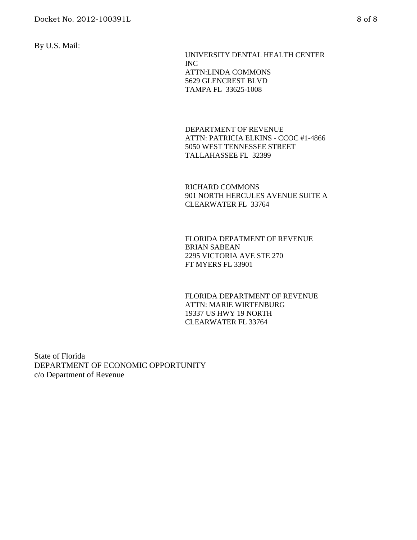By U.S. Mail:

 UNIVERSITY DENTAL HEALTH CENTER INC ATTN:LINDA COMMONS 5629 GLENCREST BLVD TAMPA FL 33625-1008

DEPARTMENT OF REVENUE ATTN: PATRICIA ELKINS - CCOC #1-4866 5050 WEST TENNESSEE STREET TALLAHASSEE FL 32399

RICHARD COMMONS 901 NORTH HERCULES AVENUE SUITE A CLEARWATER FL 33764

FLORIDA DEPATMENT OF REVENUE BRIAN SABEAN 2295 VICTORIA AVE STE 270 FT MYERS FL 33901

FLORIDA DEPARTMENT OF REVENUE ATTN: MARIE WIRTENBURG 19337 US HWY 19 NORTH CLEARWATER FL 33764

State of Florida DEPARTMENT OF ECONOMIC OPPORTUNITY c/o Department of Revenue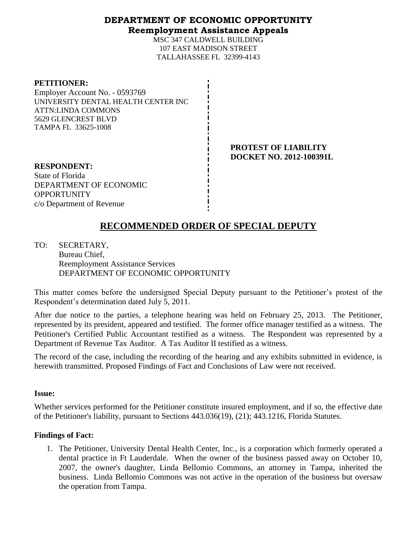## **DEPARTMENT OF ECONOMIC OPPORTUNITY Reemployment Assistance Appeals**

MSC 347 CALDWELL BUILDING 107 EAST MADISON STREET TALLAHASSEE FL 32399-4143

| <b>PETITIONER:</b>                  |
|-------------------------------------|
| Employer Account No. - 0593769      |
| UNIVERSITY DENTAL HEALTH CENTER INC |
| <b>ATTN:LINDA COMMONS</b>           |
| 5629 GLENCREST BLVD                 |
| TAMPA FL 33625-1008                 |
|                                     |

**PROTEST OF LIABILITY DOCKET NO. 2012-100391L**

**RESPONDENT:** State of Florida DEPARTMENT OF ECONOMIC **OPPORTUNITY** c/o Department of Revenue

# **RECOMMENDED ORDER OF SPECIAL DEPUTY**

TO: SECRETARY, Bureau Chief, Reemployment Assistance Services DEPARTMENT OF ECONOMIC OPPORTUNITY

This matter comes before the undersigned Special Deputy pursuant to the Petitioner's protest of the Respondent's determination dated July 5, 2011.

After due notice to the parties, a telephone hearing was held on February 25, 2013. The Petitioner, represented by its president, appeared and testified. The former office manager testified as a witness. The Petitioner's Certified Public Accountant testified as a witness. The Respondent was represented by a Department of Revenue Tax Auditor. A Tax Auditor II testified as a witness.

The record of the case, including the recording of the hearing and any exhibits submitted in evidence, is herewith transmitted. Proposed Findings of Fact and Conclusions of Law were not received.

#### **Issue:**

Whether services performed for the Petitioner constitute insured employment, and if so, the effective date of the Petitioner's liability, pursuant to Sections 443.036(19), (21); 443.1216, Florida Statutes.

## **Findings of Fact:**

1. The Petitioner, University Dental Health Center, Inc., is a corporation which formerly operated a dental practice in Ft Lauderdale. When the owner of the business passed away on October 10, 2007, the owner's daughter, Linda Bellomio Commons, an attorney in Tampa, inherited the business. Linda Bellomio Commons was not active in the operation of the business but oversaw the operation from Tampa.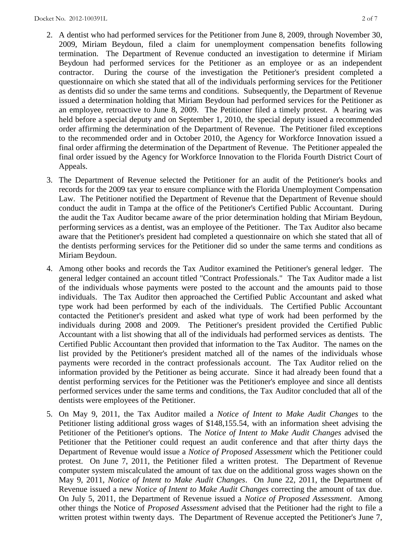- 2. A dentist who had performed services for the Petitioner from June 8, 2009, through November 30, 2009, Miriam Beydoun, filed a claim for unemployment compensation benefits following termination. The Department of Revenue conducted an investigation to determine if Miriam Beydoun had performed services for the Petitioner as an employee or as an independent contractor. During the course of the investigation the Petitioner's president completed a questionnaire on which she stated that all of the individuals performing services for the Petitioner as dentists did so under the same terms and conditions. Subsequently, the Department of Revenue issued a determination holding that Miriam Beydoun had performed services for the Petitioner as an employee, retroactive to June 8, 2009. The Petitioner filed a timely protest. A hearing was held before a special deputy and on September 1, 2010, the special deputy issued a recommended order affirming the determination of the Department of Revenue. The Petitioner filed exceptions to the recommended order and in October 2010, the Agency for Workforce Innovation issued a final order affirming the determination of the Department of Revenue. The Petitioner appealed the final order issued by the Agency for Workforce Innovation to the Florida Fourth District Court of Appeals.
- 3. The Department of Revenue selected the Petitioner for an audit of the Petitioner's books and records for the 2009 tax year to ensure compliance with the Florida Unemployment Compensation Law. The Petitioner notified the Department of Revenue that the Department of Revenue should conduct the audit in Tampa at the office of the Petitioner's Certified Public Accountant. During the audit the Tax Auditor became aware of the prior determination holding that Miriam Beydoun, performing services as a dentist, was an employee of the Petitioner. The Tax Auditor also became aware that the Petitioner's president had completed a questionnaire on which she stated that all of the dentists performing services for the Petitioner did so under the same terms and conditions as Miriam Beydoun.
- 4. Among other books and records the Tax Auditor examined the Petitioner's general ledger. The general ledger contained an account titled "Contract Professionals." The Tax Auditor made a list of the individuals whose payments were posted to the account and the amounts paid to those individuals. The Tax Auditor then approached the Certified Public Accountant and asked what type work had been performed by each of the individuals. The Certified Public Accountant contacted the Petitioner's president and asked what type of work had been performed by the individuals during 2008 and 2009. The Petitioner's president provided the Certified Public Accountant with a list showing that all of the individuals had performed services as dentists. The Certified Public Accountant then provided that information to the Tax Auditor. The names on the list provided by the Petitioner's president matched all of the names of the individuals whose payments were recorded in the contract professionals account. The Tax Auditor relied on the information provided by the Petitioner as being accurate. Since it had already been found that a dentist performing services for the Petitioner was the Petitioner's employee and since all dentists performed services under the same terms and conditions, the Tax Auditor concluded that all of the dentists were employees of the Petitioner.
- 5. On May 9, 2011, the Tax Auditor mailed a *Notice of Intent to Make Audit Changes* to the Petitioner listing additional gross wages of \$148,155.54, with an information sheet advising the Petitioner of the Petitioner's options. The *Notice of Intent to Make Audit Changes* advised the Petitioner that the Petitioner could request an audit conference and that after thirty days the Department of Revenue would issue a *Notice of Proposed Assessment* which the Petitioner could protest. On June 7, 2011, the Petitioner filed a written protest. The Department of Revenue computer system miscalculated the amount of tax due on the additional gross wages shown on the May 9, 2011, *Notice of Intent to Make Audit Changes*. On June 22, 2011, the Department of Revenue issued a new *Notice of Intent to Make Audit Changes* correcting the amount of tax due. On July 5, 2011, the Department of Revenue issued a *Notice of Proposed Assessment*. Among other things the Notice of *Proposed Assessment* advised that the Petitioner had the right to file a written protest within twenty days. The Department of Revenue accepted the Petitioner's June 7,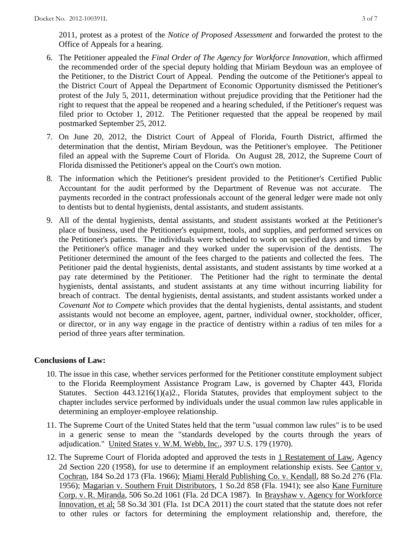2011, protest as a protest of the *Notice of Proposed Assessment* and forwarded the protest to the Office of Appeals for a hearing.

- 6. The Petitioner appealed the *Final Order of The Agency for Workforce Innovation,* which affirmed the recommended order of the special deputy holding that Miriam Beydoun was an employee of the Petitioner, to the District Court of Appeal. Pending the outcome of the Petitioner's appeal to the District Court of Appeal the Department of Economic Opportunity dismissed the Petitioner's protest of the July 5, 2011, determination without prejudice providing that the Petitioner had the right to request that the appeal be reopened and a hearing scheduled, if the Petitioner's request was filed prior to October 1, 2012. The Petitioner requested that the appeal be reopened by mail postmarked September 25, 2012.
- 7. On June 20, 2012, the District Court of Appeal of Florida, Fourth District, affirmed the determination that the dentist, Miriam Beydoun, was the Petitioner's employee. The Petitioner filed an appeal with the Supreme Court of Florida. On August 28, 2012, the Supreme Court of Florida dismissed the Petitioner's appeal on the Court's own motion.
- 8. The information which the Petitioner's president provided to the Petitioner's Certified Public Accountant for the audit performed by the Department of Revenue was not accurate. The payments recorded in the contract professionals account of the general ledger were made not only to dentists but to dental hygienists, dental assistants, and student assistants.
- 9. All of the dental hygienists, dental assistants, and student assistants worked at the Petitioner's place of business, used the Petitioner's equipment, tools, and supplies, and performed services on the Petitioner's patients. The individuals were scheduled to work on specified days and times by the Petitioner's office manager and they worked under the supervision of the dentists. The Petitioner determined the amount of the fees charged to the patients and collected the fees. The Petitioner paid the dental hygienists, dental assistants, and student assistants by time worked at a pay rate determined by the Petitioner. The Petitioner had the right to terminate the dental hygienists, dental assistants, and student assistants at any time without incurring liability for breach of contract. The dental hygienists, dental assistants, and student assistants worked under a *Covenant Not to Compete* which provides that the dental hygienists, dental assistants, and student assistants would not become an employee, agent, partner, individual owner, stockholder, officer, or director, or in any way engage in the practice of dentistry within a radius of ten miles for a period of three years after termination.

## **Conclusions of Law:**

- 10. The issue in this case, whether services performed for the Petitioner constitute employment subject to the Florida Reemployment Assistance Program Law, is governed by Chapter 443, Florida Statutes. Section 443.1216(1)(a)2., Florida Statutes, provides that employment subject to the chapter includes service performed by individuals under the usual common law rules applicable in determining an employer-employee relationship.
- 11. The Supreme Court of the United States held that the term "usual common law rules" is to be used in a generic sense to mean the "standards developed by the courts through the years of adjudication." United States v. W.M. Webb, Inc., 397 U.S. 179 (1970).
- 12. The Supreme Court of Florida adopted and approved the tests in 1 Restatement of Law, Agency 2d Section 220 (1958), for use to determine if an employment relationship exists. See Cantor v. Cochran, 184 So.2d 173 (Fla. 1966); Miami Herald Publishing Co. v. Kendall, 88 So.2d 276 (Fla. 1956); Magarian v. Southern Fruit Distributors, 1 So.2d 858 (Fla. 1941); see also Kane Furniture Corp. v. R. Miranda, 506 So.2d 1061 (Fla. 2d DCA 1987). In Brayshaw v. Agency for Workforce Innovation, et al; 58 So.3d 301 (Fla. 1st DCA 2011) the court stated that the statute does not refer to other rules or factors for determining the employment relationship and, therefore, the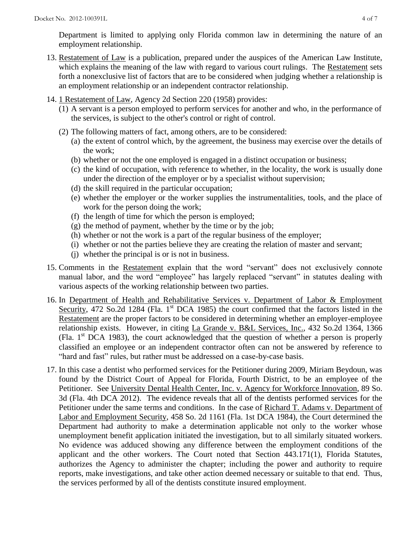Department is limited to applying only Florida common law in determining the nature of an employment relationship.

- 13. Restatement of Law is a publication, prepared under the auspices of the American Law Institute, which explains the meaning of the law with regard to various court rulings. The Restatement sets forth a nonexclusive list of factors that are to be considered when judging whether a relationship is an employment relationship or an independent contractor relationship.
- 14. 1 Restatement of Law, Agency 2d Section 220 (1958) provides:
	- (1) A servant is a person employed to perform services for another and who, in the performance of the services, is subject to the other's control or right of control.
	- (2) The following matters of fact, among others, are to be considered:
		- (a) the extent of control which, by the agreement, the business may exercise over the details of the work;
		- (b) whether or not the one employed is engaged in a distinct occupation or business;
		- (c) the kind of occupation, with reference to whether, in the locality, the work is usually done under the direction of the employer or by a specialist without supervision;
		- (d) the skill required in the particular occupation;
		- (e) whether the employer or the worker supplies the instrumentalities, tools, and the place of work for the person doing the work;
		- (f) the length of time for which the person is employed;
		- $(g)$  the method of payment, whether by the time or by the job;
		- (h) whether or not the work is a part of the regular business of the employer;
		- (i) whether or not the parties believe they are creating the relation of master and servant;
		- (j) whether the principal is or is not in business.
- 15. Comments in the Restatement explain that the word "servant" does not exclusively connote manual labor, and the word "employee" has largely replaced "servant" in statutes dealing with various aspects of the working relationship between two parties.
- 16. In Department of Health and Rehabilitative Services v. Department of Labor & Employment Security, 472 So.2d 1284 (Fla. 1<sup>st</sup> DCA 1985) the court confirmed that the factors listed in the Restatement are the proper factors to be considered in determining whether an employer-employee relationship exists. However, in citing La Grande v. B&L Services, Inc., 432 So.2d 1364, 1366 (Fla.  $1<sup>st</sup> DCA$  1983), the court acknowledged that the question of whether a person is properly classified an employee or an independent contractor often can not be answered by reference to "hard and fast" rules, but rather must be addressed on a case-by-case basis.
- 17. In this case a dentist who performed services for the Petitioner during 2009, Miriam Beydoun, was found by the District Court of Appeal for Florida, Fourth District, to be an employee of the Petitioner. See University Dental Health Center, Inc. v. Agency for Workforce Innovation, 89 So. 3d (Fla. 4th DCA 2012). The evidence reveals that all of the dentists performed services for the Petitioner under the same terms and conditions. In the case of Richard T. Adams v. Department of Labor and Employment Security, 458 So. 2d 1161 (Fla. 1st DCA 1984), the Court determined the Department had authority to make a determination applicable not only to the worker whose unemployment benefit application initiated the investigation, but to all similarly situated workers. No evidence was adduced showing any difference between the employment conditions of the applicant and the other workers. The Court noted that Section 443.171(1), Florida Statutes, authorizes the Agency to administer the chapter; including the power and authority to require reports, make investigations, and take other action deemed necessary or suitable to that end. Thus, the services performed by all of the dentists constitute insured employment.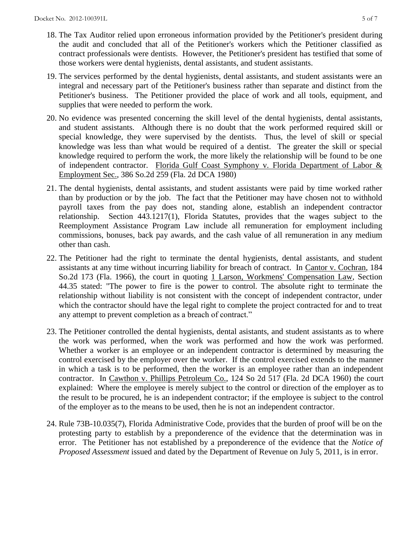- 18. The Tax Auditor relied upon erroneous information provided by the Petitioner's president during the audit and concluded that all of the Petitioner's workers which the Petitioner classified as contract professionals were dentists. However, the Petitioner's president has testified that some of those workers were dental hygienists, dental assistants, and student assistants.
- 19. The services performed by the dental hygienists, dental assistants, and student assistants were an integral and necessary part of the Petitioner's business rather than separate and distinct from the Petitioner's business. The Petitioner provided the place of work and all tools, equipment, and supplies that were needed to perform the work.
- 20. No evidence was presented concerning the skill level of the dental hygienists, dental assistants, and student assistants. Although there is no doubt that the work performed required skill or special knowledge, they were supervised by the dentists. Thus, the level of skill or special knowledge was less than what would be required of a dentist. The greater the skill or special knowledge required to perform the work, the more likely the relationship will be found to be one of independent contractor. Florida Gulf Coast Symphony v. Florida Department of Labor & Employment Sec., 386 So.2d 259 (Fla. 2d DCA 1980)
- 21. The dental hygienists, dental assistants, and student assistants were paid by time worked rather than by production or by the job. The fact that the Petitioner may have chosen not to withhold payroll taxes from the pay does not, standing alone, establish an independent contractor relationship. Section 443.1217(1), Florida Statutes, provides that the wages subject to the Reemployment Assistance Program Law include all remuneration for employment including commissions, bonuses, back pay awards, and the cash value of all remuneration in any medium other than cash.
- 22. The Petitioner had the right to terminate the dental hygienists, dental assistants, and student assistants at any time without incurring liability for breach of contract. In Cantor v. Cochran, 184 So.2d 173 (Fla. 1966), the court in quoting 1 Larson, Workmens' Compensation Law, Section 44.35 stated: "The power to fire is the power to control. The absolute right to terminate the relationship without liability is not consistent with the concept of independent contractor, under which the contractor should have the legal right to complete the project contracted for and to treat any attempt to prevent completion as a breach of contract."
- 23. The Petitioner controlled the dental hygienists, dental asistants, and student assistants as to where the work was performed, when the work was performed and how the work was performed. Whether a worker is an employee or an independent contractor is determined by measuring the control exercised by the employer over the worker. If the control exercised extends to the manner in which a task is to be performed, then the worker is an employee rather than an independent contractor. In Cawthon v. Phillips Petroleum Co., 124 So 2d 517 (Fla. 2d DCA 1960) the court explained: Where the employee is merely subject to the control or direction of the employer as to the result to be procured, he is an independent contractor; if the employee is subject to the control of the employer as to the means to be used, then he is not an independent contractor.
- 24. Rule 73B-10.035(7), Florida Administrative Code, provides that the burden of proof will be on the protesting party to establish by a preponderence of the evidence that the determination was in error. The Petitioner has not established by a preponderence of the evidence that the *Notice of Proposed Assessment* issued and dated by the Department of Revenue on July 5, 2011, is in error.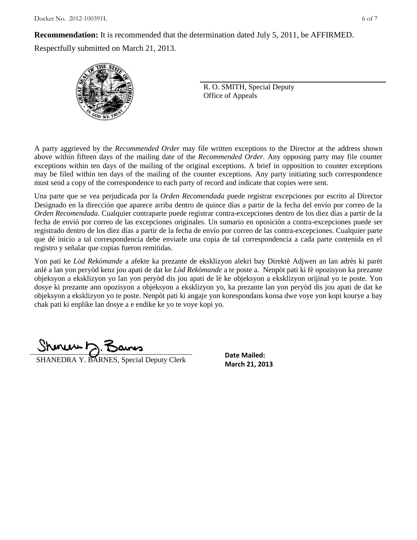$Docket$  No. 2012-100391L 6 of 7

**Recommendation:** It is recommended that the determination dated July 5, 2011, be AFFIRMED.

Respectfully submitted on March 21, 2013.



R. O. SMITH, Special Deputy Office of Appeals

A party aggrieved by the *Recommended Order* may file written exceptions to the Director at the address shown above within fifteen days of the mailing date of the *Recommended Order*. Any opposing party may file counter exceptions within ten days of the mailing of the original exceptions. A brief in opposition to counter exceptions may be filed within ten days of the mailing of the counter exceptions. Any party initiating such correspondence must send a copy of the correspondence to each party of record and indicate that copies were sent.

Una parte que se vea perjudicada por la *Orden Recomendada* puede registrar excepciones por escrito al Director Designado en la dirección que aparece arriba dentro de quince días a partir de la fecha del envío por correo de la *Orden Recomendada*. Cualquier contraparte puede registrar contra-excepciones dentro de los diez días a partir de la fecha de envió por correo de las excepciones originales. Un sumario en oposición a contra-excepciones puede ser registrado dentro de los diez días a partir de la fecha de envío por correo de las contra-excepciones. Cualquier parte que dé inicio a tal correspondencia debe enviarle una copia de tal correspondencia a cada parte contenida en el registro y señalar que copias fueron remitidas.

Yon pati ke *Lòd Rekòmande* a afekte ka prezante de eksklizyon alekri bay Direktè Adjwen an lan adrès ki parèt anlè a lan yon peryòd kenz jou apati de dat ke *Lòd Rekòmande* a te poste a. Nenpòt pati ki fè opozisyon ka prezante objeksyon a eksklizyon yo lan yon peryòd dis jou apati de lè ke objeksyon a eksklizyon orijinal yo te poste. Yon dosye ki prezante ann opozisyon a objeksyon a eksklizyon yo, ka prezante lan yon peryòd dis jou apati de dat ke objeksyon a eksklizyon yo te poste. Nenpòt pati ki angaje yon korespondans konsa dwe voye yon kopi kourye a bay chak pati ki enplike lan dosye a e endike ke yo te voye kopi yo.

**SHANEDRA Y. BARNES, Special Deputy Clerk** March 21, 2013

**Date Mailed:**